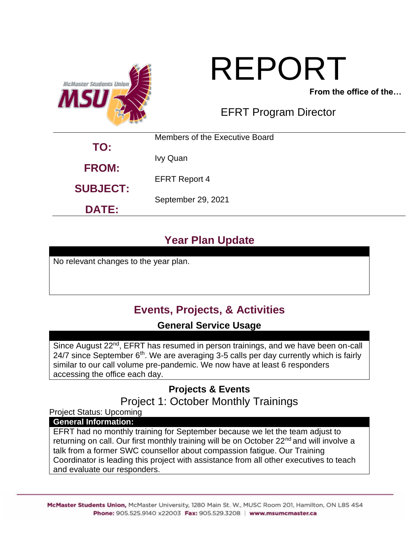

# REPORT

**From the office of the…**

# EFRT Program Director

| TO:             | Members of the Executive Board |  |
|-----------------|--------------------------------|--|
|                 | Ivy Quan                       |  |
| <b>FROM:</b>    | <b>EFRT Report 4</b>           |  |
| <b>SUBJECT:</b> | September 29, 2021             |  |
| <b>DATE:</b>    |                                |  |

# **Year Plan Update**

No relevant changes to the year plan.

# **Events, Projects, & Activities**

## **General Service Usage**

Since August 22<sup>nd</sup>, EFRT has resumed in person trainings, and we have been on-call  $24/7$  since September  $6<sup>th</sup>$ . We are averaging 3-5 calls per day currently which is fairly similar to our call volume pre-pandemic. We now have at least 6 responders accessing the office each day.

## **Projects & Events** Project 1: October Monthly Trainings

Project Status: Upcoming

#### **General Information:**

EFRT had no monthly training for September because we let the team adjust to returning on call. Our first monthly training will be on October 22<sup>nd</sup> and will involve a talk from a former SWC counsellor about compassion fatigue. Our Training Coordinator is leading this project with assistance from all other executives to teach and evaluate our responders.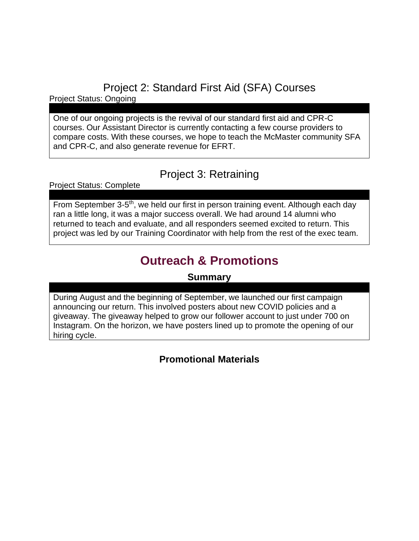Project 2: Standard First Aid (SFA) Courses

Project Status: Ongoing

One of our ongoing projects is the revival of our standard first aid and CPR-C courses. Our Assistant Director is currently contacting a few course providers to compare costs. With these courses, we hope to teach the McMaster community SFA and CPR-C, and also generate revenue for EFRT.

## Project 3: Retraining

Project Status: Complete

From September 3-5<sup>th</sup>, we held our first in person training event. Although each day ran a little long, it was a major success overall. We had around 14 alumni who returned to teach and evaluate, and all responders seemed excited to return. This project was led by our Training Coordinator with help from the rest of the exec team.

# **Outreach & Promotions**

## **Summary**

During August and the beginning of September, we launched our first campaign announcing our return. This involved posters about new COVID policies and a giveaway. The giveaway helped to grow our follower account to just under 700 on Instagram. On the horizon, we have posters lined up to promote the opening of our hiring cycle.

## **Promotional Materials**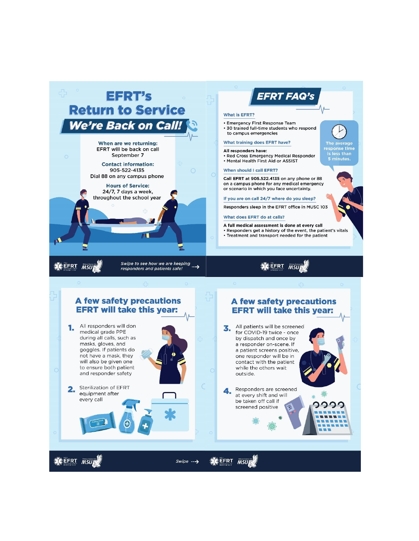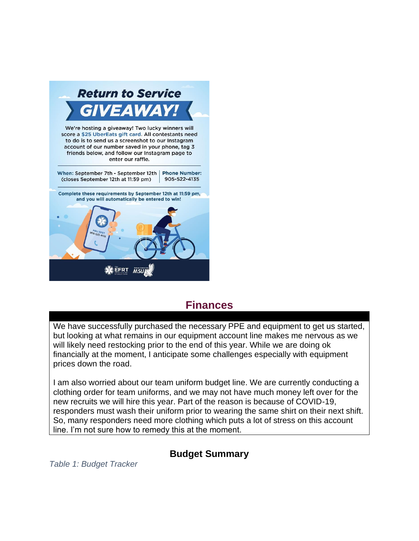

## **Finances**

We have successfully purchased the necessary PPE and equipment to get us started, but looking at what remains in our equipment account line makes me nervous as we will likely need restocking prior to the end of this year. While we are doing ok financially at the moment, I anticipate some challenges especially with equipment prices down the road.

I am also worried about our team uniform budget line. We are currently conducting a clothing order for team uniforms, and we may not have much money left over for the new recruits we will hire this year. Part of the reason is because of COVID-19, responders must wash their uniform prior to wearing the same shirt on their next shift. So, many responders need more clothing which puts a lot of stress on this account line. I'm not sure how to remedy this at the moment.

### **Budget Summary**

*Table 1: Budget Tracker*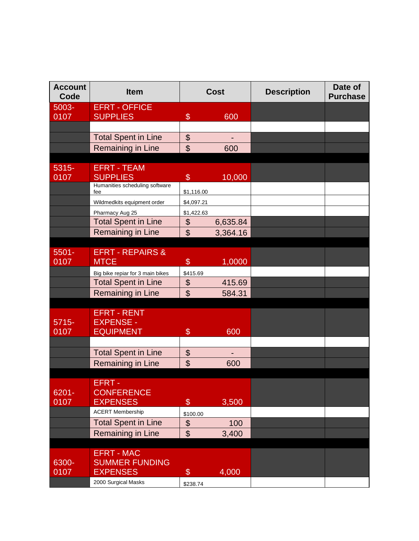| <b>Account</b><br>Code | <b>Item</b>                                     | <b>Cost</b>               |          | <b>Description</b> | Date of<br><b>Purchase</b> |
|------------------------|-------------------------------------------------|---------------------------|----------|--------------------|----------------------------|
| 5003-                  | <b>EFRT - OFFICE</b>                            |                           |          |                    |                            |
| 0107                   | <b>SUPPLIES</b>                                 | $\frac{1}{2}$             | 600      |                    |                            |
|                        |                                                 |                           |          |                    |                            |
|                        | <b>Total Spent in Line</b><br>Remaining in Line | \$<br>\$                  | 600      |                    |                            |
|                        |                                                 |                           |          |                    |                            |
| 5315-                  | <b>EFRT - TEAM</b>                              |                           |          |                    |                            |
| 0107                   | <b>SUPPLIES</b>                                 | $\$\$                     | 10,000   |                    |                            |
|                        | Humanities scheduling software<br>fee           | \$1,116.00                |          |                    |                            |
|                        | Wildmedkits equipment order                     | \$4,097.21                |          |                    |                            |
|                        | Pharmacy Aug 25                                 | \$1,422.63                |          |                    |                            |
|                        | <b>Total Spent in Line</b>                      | \$                        | 6,635.84 |                    |                            |
|                        | Remaining in Line                               | $\mathfrak{S}$            | 3,364.16 |                    |                            |
|                        |                                                 |                           |          |                    |                            |
| $5501 -$               | <b>EFRT - REPAIRS &amp;</b>                     |                           |          |                    |                            |
| 0107                   | <b>MTCE</b>                                     | $\$\$                     | 1,0000   |                    |                            |
|                        | Big bike repiar for 3 main bikes                | \$415.69                  |          |                    |                            |
|                        | <b>Total Spent in Line</b>                      | $\boldsymbol{\theta}$     | 415.69   |                    |                            |
|                        | Remaining in Line                               | $\boldsymbol{\mathsf{S}}$ | 584.31   |                    |                            |
|                        | <b>EFRT - RENT</b>                              |                           |          |                    |                            |
| $5715 -$               | <b>EXPENSE -</b>                                |                           |          |                    |                            |
| 0107                   | EQUIPMENT                                       | $\$\$                     | 600      |                    |                            |
|                        |                                                 |                           |          |                    |                            |
|                        | <b>Total Spent in Line</b>                      | $\boldsymbol{\theta}$     |          |                    |                            |
|                        | Remaining in Line                               | \$                        | 600      |                    |                            |
|                        |                                                 |                           |          |                    |                            |
| 6201-                  | <b>EFRT-</b><br><b>CONFERENCE</b>               |                           |          |                    |                            |
| 0107                   | <b>EXPENSES</b>                                 | $\$\$                     | 3,500    |                    |                            |
|                        | <b>ACERT Membership</b>                         | \$100.00                  |          |                    |                            |
|                        | <b>Total Spent in Line</b>                      | $\boldsymbol{\$}$         | 100      |                    |                            |
|                        | Remaining in Line                               | \$                        | 3,400    |                    |                            |
|                        |                                                 |                           |          |                    |                            |
|                        | <b>EFRT - MAC</b>                               |                           |          |                    |                            |
| 6300-                  | <b>SUMMER FUNDING</b>                           |                           |          |                    |                            |
| 0107                   | <b>EXPENSES</b>                                 | $\$\$                     | 4,000    |                    |                            |
|                        | 2000 Surgical Masks                             | \$238.74                  |          |                    |                            |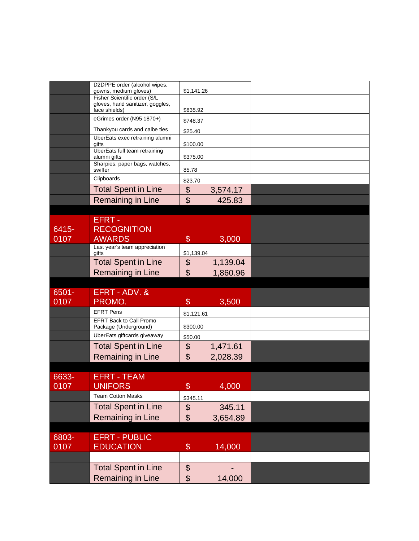|          | D2DPPE order (alcohol wipes,<br>gowns, medium gloves) | \$1,141.26                             |          |  |
|----------|-------------------------------------------------------|----------------------------------------|----------|--|
|          | Fisher Scientific order (S/L                          |                                        |          |  |
|          | gloves, hand sanitizer, goggles,<br>face shields)     | \$835.92                               |          |  |
|          | eGrimes order (N95 1870+)                             | \$748.37                               |          |  |
|          | Thankyou cards and calbe ties                         | \$25.40                                |          |  |
|          | UberEats exec retraining alumni<br>gifts              | \$100.00                               |          |  |
|          | UberEats full team retraining<br>alumni gifts         | \$375.00                               |          |  |
|          | Sharpies, paper bags, watches,<br>swiffer             | 85.78                                  |          |  |
|          | Clipboards                                            | \$23.70                                |          |  |
|          | <b>Total Spent in Line</b>                            | $\boldsymbol{\theta}$                  | 3,574.17 |  |
|          | Remaining in Line                                     | $\mathfrak{S}$                         | 425.83   |  |
|          |                                                       |                                        |          |  |
|          | EFRT-                                                 |                                        |          |  |
| 6415-    | <b>RECOGNITION</b>                                    |                                        |          |  |
| 0107     | <b>AWARDS</b>                                         | $\mathcal{S}$                          | 3,000    |  |
|          | Last year's team appreciation<br>gifts                | \$1,139.04                             |          |  |
|          | <b>Total Spent in Line</b>                            | \$                                     | 1,139.04 |  |
|          | Remaining in Line                                     | $\mathfrak{S}$                         | 1,860.96 |  |
|          |                                                       |                                        |          |  |
| $6501 -$ | EFRT - ADV. &                                         |                                        |          |  |
|          |                                                       |                                        |          |  |
| 0107     | PROMO.                                                | $\$\$                                  | 3,500    |  |
|          | <b>EFRT Pens</b>                                      | \$1,121.61                             |          |  |
|          | EFRT Back to Call Promo<br>Package (Underground)      | \$300.00                               |          |  |
|          | UberEats giftcards giveaway                           | \$50.00                                |          |  |
|          | <b>Total Spent in Line</b>                            | \$                                     | 1,471.61 |  |
|          | Remaining in Line                                     | $\mathfrak{S}$                         | 2,028.39 |  |
|          |                                                       |                                        |          |  |
| 6633-    | <b>EFRT - TEAM</b>                                    |                                        |          |  |
| 0107     | <b>UNIFORS</b>                                        | $\frac{1}{2}$                          | 4,000    |  |
|          | <b>Team Cotton Masks</b>                              | \$345.11                               |          |  |
|          | <b>Total Spent in Line</b>                            | $\boldsymbol{\theta}$                  | 345.11   |  |
|          | <b>Remaining in Line</b>                              | $\boldsymbol{\mathsf{S}}$              | 3,654.89 |  |
|          |                                                       |                                        |          |  |
| 6803-    | <b>EFRT - PUBLIC</b>                                  |                                        |          |  |
| 0107     | <b>EDUCATION</b>                                      | $\$\$                                  | 14,000   |  |
|          |                                                       |                                        |          |  |
|          | <b>Total Spent in Line</b><br>Remaining in Line       | $\boldsymbol{\theta}$<br>$\frac{1}{2}$ | 14,000   |  |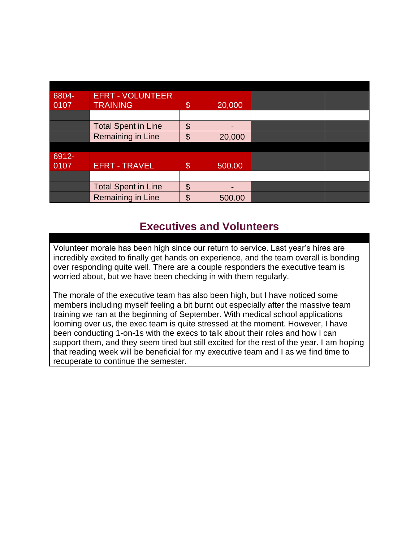| 6804- | <b>EFRT - VOLUNTEER</b>    |                |        |  |
|-------|----------------------------|----------------|--------|--|
| 0107  | <b>TRAINING</b>            | \$             | 20,000 |  |
|       |                            |                |        |  |
|       | <b>Total Spent in Line</b> | \$             |        |  |
|       | <b>Remaining in Line</b>   | $\mathfrak{S}$ | 20,000 |  |
|       |                            |                |        |  |
| 6912- |                            |                |        |  |
| 0107  | <b>EFRT - TRAVEL</b>       | $\mathcal{S}$  | 500.00 |  |
|       |                            |                |        |  |
|       | <b>Total Spent in Line</b> | \$             |        |  |
|       | Remaining in Line          | $\mathfrak{S}$ | 500.00 |  |

# **Executives and Volunteers**

Volunteer morale has been high since our return to service. Last year's hires are incredibly excited to finally get hands on experience, and the team overall is bonding over responding quite well. There are a couple responders the executive team is worried about, but we have been checking in with them regularly.

The morale of the executive team has also been high, but I have noticed some members including myself feeling a bit burnt out especially after the massive team training we ran at the beginning of September. With medical school applications looming over us, the exec team is quite stressed at the moment. However, I have been conducting 1-on-1s with the execs to talk about their roles and how I can support them, and they seem tired but still excited for the rest of the year. I am hoping that reading week will be beneficial for my executive team and I as we find time to recuperate to continue the semester.